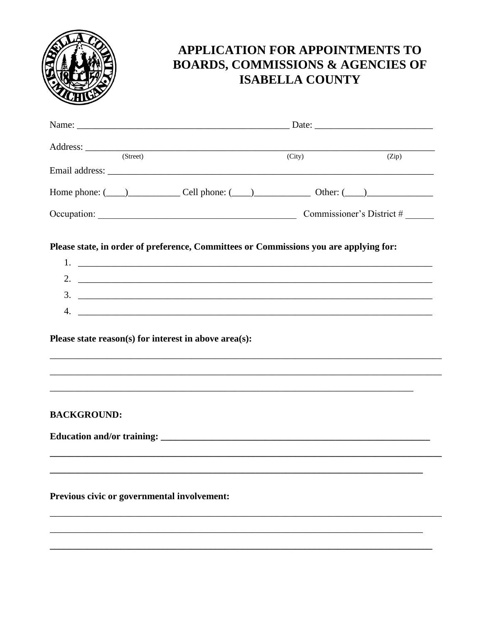

## APPLICATION FOR APPOINTMENTS TO **BOARDS, COMMISSIONS & AGENCIES OF ISABELLA COUNTY**

| (Street)                                                                              |        |  |       |
|---------------------------------------------------------------------------------------|--------|--|-------|
|                                                                                       | (City) |  | (Zip) |
|                                                                                       |        |  |       |
| Home phone: $(\_\_)$ Cell phone: $(\_\_)$ Other: $(\_\_)$                             |        |  |       |
|                                                                                       |        |  |       |
| Please state, in order of preference, Committees or Commissions you are applying for: |        |  |       |
|                                                                                       |        |  |       |
| 2. $\overline{\phantom{a}}$                                                           |        |  |       |
| $\frac{3}{2}$                                                                         |        |  |       |
|                                                                                       |        |  |       |
|                                                                                       |        |  |       |
| Please state reason(s) for interest in above area(s):                                 |        |  |       |
|                                                                                       |        |  |       |
|                                                                                       |        |  |       |
|                                                                                       |        |  |       |
| <b>BACKGROUND:</b>                                                                    |        |  |       |
|                                                                                       |        |  |       |
|                                                                                       |        |  |       |
|                                                                                       |        |  |       |
|                                                                                       |        |  |       |
| Previous civic or governmental involvement:                                           |        |  |       |
|                                                                                       |        |  |       |